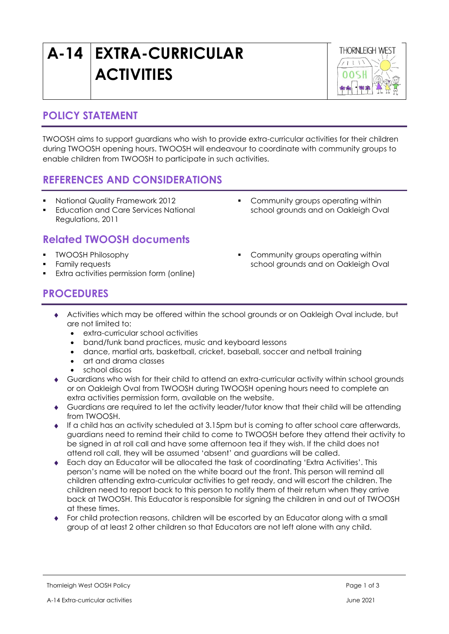# **A-14 EXTRA-CURRICULAR ACTIVITIES**



#### **POLICY STATEMENT**

TWOOSH aims to support guardians who wish to provide extra-curricular activities for their children during TWOOSH opening hours. TWOOSH will endeavour to coordinate with community groups to enable children from TWOOSH to participate in such activities.

### **REFERENCES AND CONSIDERATIONS**

- National Quality Framework 2012
- **Education and Care Services National** Regulations, 2011

### **Related TWOOSH documents**

- TWOOSH Philosophy
- Family requests
- Extra activities permission form (online)
- Community groups operating within school grounds and on Oakleigh Oval
- Community groups operating within school grounds and on Oakleigh Oval

#### **PROCEDURES**

- Activities which may be offered within the school grounds or on Oakleigh Oval include, but are not limited to:
	- extra-curricular school activities
	- band/funk band practices, music and keyboard lessons
	- dance, martial arts, basketball, cricket, baseball, soccer and netball training
	- art and drama classes
	- school discos
- Guardians who wish for their child to attend an extra-curricular activity within school grounds or on Oakleigh Oval from TWOOSH during TWOOSH opening hours need to complete an extra activities permission form, available on the website.
- Guardians are required to let the activity leader/tutor know that their child will be attending from TWOOSH.
- If a child has an activity scheduled at 3.15pm but is coming to after school care afterwards, guardians need to remind their child to come to TWOOSH before they attend their activity to be signed in at roll call and have some afternoon tea if they wish. If the child does not attend roll call, they will be assumed 'absent' and guardians will be called.
- Each day an Educator will be allocated the task of coordinating 'Extra Activities'. This person's name will be noted on the white board out the front. This person will remind all children attending extra-curricular activities to get ready, and will escort the children. The children need to report back to this person to notify them of their return when they arrive back at TWOOSH. This Educator is responsible for signing the children in and out of TWOOSH at these times.
- For child protection reasons, children will be escorted by an Educator along with a small group of at least 2 other children so that Educators are not left alone with any child.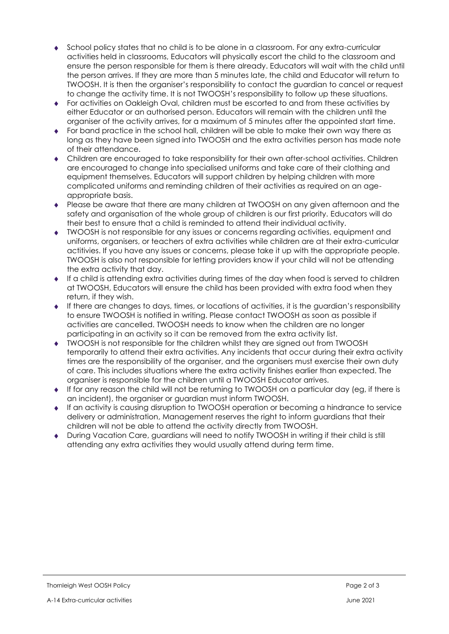- School policy states that no child is to be alone in a classroom. For any extra-curricular activities held in classrooms, Educators will physically escort the child to the classroom and ensure the person responsible for them is there already. Educators will wait with the child until the person arrives. If they are more than 5 minutes late, the child and Educator will return to TWOOSH. It is then the organiser's responsibility to contact the guardian to cancel or request to change the activity time. It is not TWOOSH's responsibility to follow up these situations.
- For activities on Oakleigh Oval, children must be escorted to and from these activities by either Educator or an authorised person. Educators will remain with the children until the organiser of the activity arrives, for a maximum of 5 minutes after the appointed start time.
- For band practice in the school hall, children will be able to make their own way there as long as they have been signed into TWOOSH and the extra activities person has made note of their attendance.
- Children are encouraged to take responsibility for their own after-school activities. Children are encouraged to change into specialised uniforms and take care of their clothing and equipment themselves. Educators will support children by helping children with more complicated uniforms and reminding children of their activities as required on an ageappropriate basis.
- Please be aware that there are many children at TWOOSH on any given afternoon and the safety and organisation of the whole group of children is our first priority. Educators will do their best to ensure that a child is reminded to attend their individual activity.
- TWOOSH is not responsible for any issues or concerns regarding activities, equipment and uniforms, organisers, or teachers of extra activities while children are at their extra-curricular actitivies. If you have any issues or concerns, please take it up with the appropriate people. TWOOSH is also not responsible for letting providers know if your child will not be attending the extra activity that day.
- If a child is attending extra activities during times of the day when food is served to children at TWOOSH, Educators will ensure the child has been provided with extra food when they return, if they wish.
- $\bullet$  If there are changes to days, times, or locations of activities, it is the guardian's responsibility to ensure TWOOSH is notified in writing. Please contact TWOOSH as soon as possible if activities are cancelled. TWOOSH needs to know when the children are no longer participating in an activity so it can be removed from the extra activity list.
- TWOOSH is not responsible for the children whilst they are signed out from TWOOSH temporarily to attend their extra activities. Any incidents that occur during their extra activity times are the responsibility of the organiser, and the organisers must exercise their own duty of care. This includes situations where the extra activity finishes earlier than expected. The organiser is responsible for the children until a TWOOSH Educator arrives.
- If for any reason the child will not be returning to TWOOSH on a particular day (eg, if there is an incident), the organiser or guardian must inform TWOOSH.
- If an activity is causing disruption to TWOOSH operation or becoming a hindrance to service delivery or administration, Management reserves the right to inform guardians that their children will not be able to attend the activity directly from TWOOSH.
- During Vacation Care, guardians will need to notify TWOOSH in writing if their child is still attending any extra activities they would usually attend during term time.